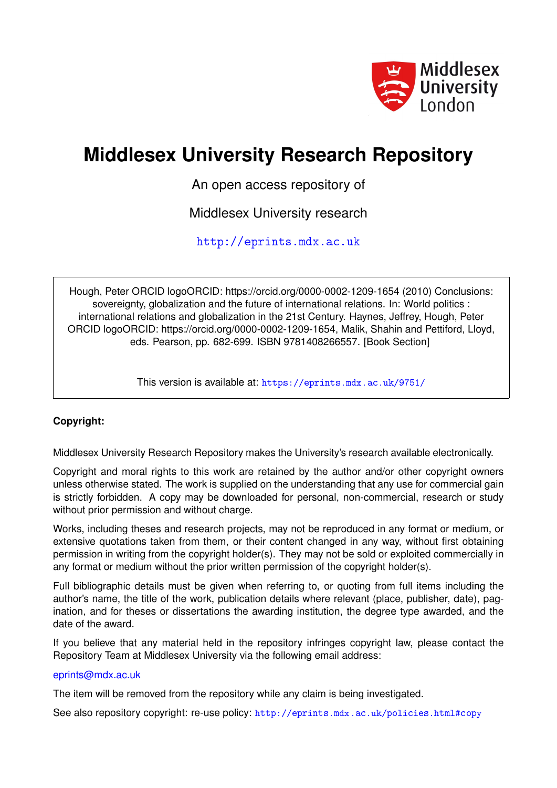

# **Middlesex University Research Repository**

An open access repository of

Middlesex University research

<http://eprints.mdx.ac.uk>

Hough, Peter ORCID logoORCID: https://orcid.org/0000-0002-1209-1654 (2010) Conclusions: sovereignty, globalization and the future of international relations. In: World politics : international relations and globalization in the 21st Century. Haynes, Jeffrey, Hough, Peter ORCID logoORCID: https://orcid.org/0000-0002-1209-1654, Malik, Shahin and Pettiford, Lloyd, eds. Pearson, pp. 682-699. ISBN 9781408266557. [Book Section]

This version is available at: <https://eprints.mdx.ac.uk/9751/>

### **Copyright:**

Middlesex University Research Repository makes the University's research available electronically.

Copyright and moral rights to this work are retained by the author and/or other copyright owners unless otherwise stated. The work is supplied on the understanding that any use for commercial gain is strictly forbidden. A copy may be downloaded for personal, non-commercial, research or study without prior permission and without charge.

Works, including theses and research projects, may not be reproduced in any format or medium, or extensive quotations taken from them, or their content changed in any way, without first obtaining permission in writing from the copyright holder(s). They may not be sold or exploited commercially in any format or medium without the prior written permission of the copyright holder(s).

Full bibliographic details must be given when referring to, or quoting from full items including the author's name, the title of the work, publication details where relevant (place, publisher, date), pagination, and for theses or dissertations the awarding institution, the degree type awarded, and the date of the award.

If you believe that any material held in the repository infringes copyright law, please contact the Repository Team at Middlesex University via the following email address:

#### [eprints@mdx.ac.uk](mailto:eprints@mdx.ac.uk)

The item will be removed from the repository while any claim is being investigated.

See also repository copyright: re-use policy: <http://eprints.mdx.ac.uk/policies.html#copy>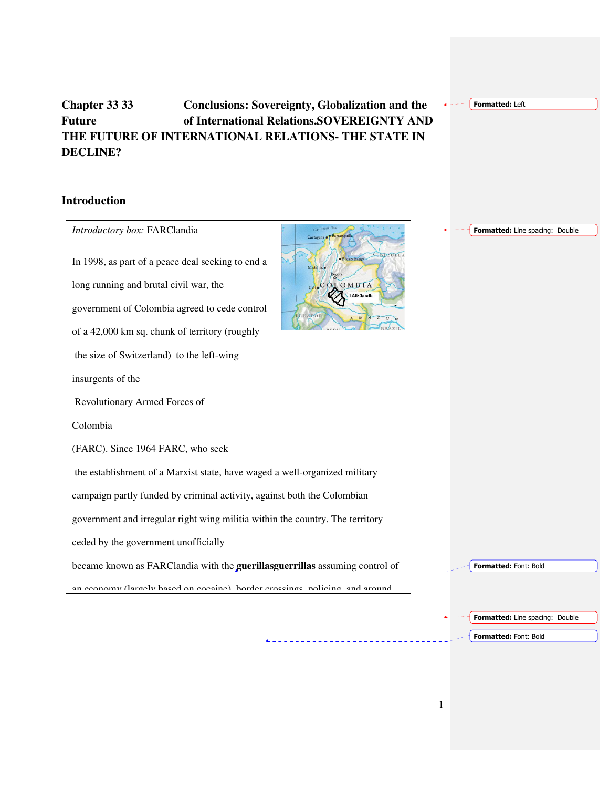**Chapter 33 33 Conclusions: Sovereignty, Globalization and the Future of International Relations.SOVEREIGNTY AND THE FUTURE OF INTERNATIONAL RELATIONS- THE STATE IN DECLINE?** 

#### **Introduction**



Formatted: Font: Bold

Formatted: Left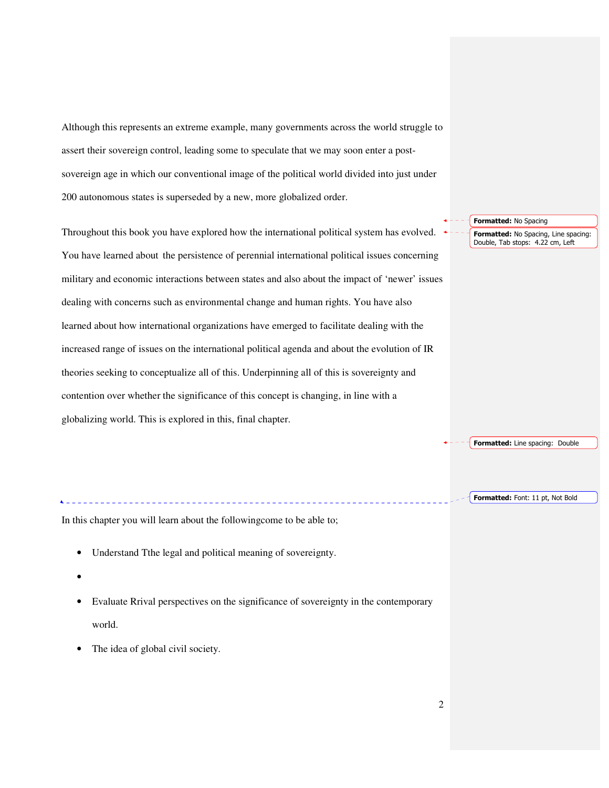Although this represents an extreme example, many governments across the world struggle to assert their sovereign control, leading some to speculate that we may soon enter a postsovereign age in which our conventional image of the political world divided into just under 200 autonomous states is superseded by a new, more globalized order.

Throughout this book you have explored how the international political system has evolved. You have learned about the persistence of perennial international political issues concerning military and economic interactions between states and also about the impact of 'newer' issues dealing with concerns such as environmental change and human rights. You have also learned about how international organizations have emerged to facilitate dealing with the increased range of issues on the international political agenda and about the evolution of IR theories seeking to conceptualize all of this. Underpinning all of this is sovereignty and contention over whether the significance of this concept is changing, in line with a globalizing world. This is explored in this, final chapter.

Formatted: No Spacing

Formatted: No Spacing, Line spacing: Double, Tab stops: 4.22 cm, Left

Formatted: Line spacing: Double

Formatted: Font: 11 pt, Not Bold

In this chapter you will learn about the followingcome to be able to;

- Understand Tthe legal and political meaning of sovereignty.
- •
- Evaluate Rrival perspectives on the significance of sovereignty in the contemporary world.
- The idea of global civil society.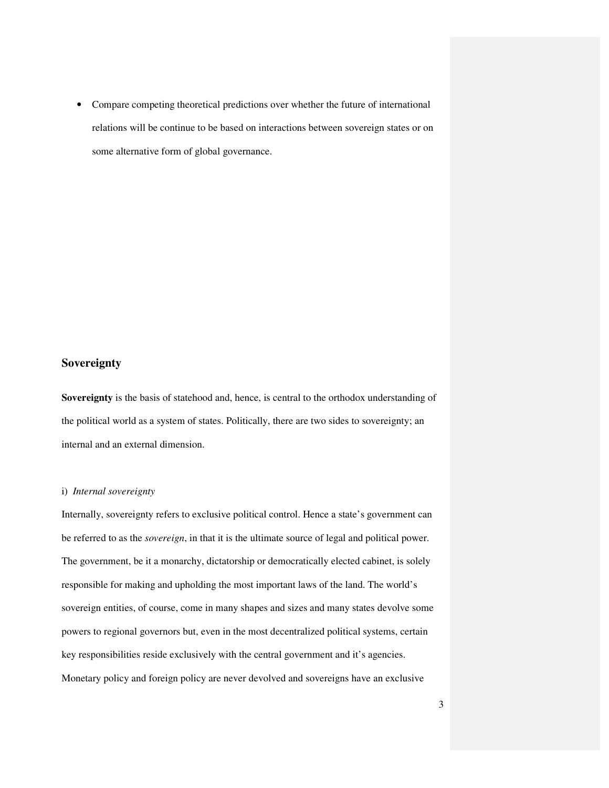• Compare competing theoretical predictions over whether the future of international relations will be continue to be based on interactions between sovereign states or on some alternative form of global governance.

#### **Sovereignty**

**Sovereignty** is the basis of statehood and, hence, is central to the orthodox understanding of the political world as a system of states. Politically, there are two sides to sovereignty; an internal and an external dimension.

#### i) *Internal sovereignty*

Internally, sovereignty refers to exclusive political control. Hence a state's government can be referred to as the *sovereign*, in that it is the ultimate source of legal and political power. The government, be it a monarchy, dictatorship or democratically elected cabinet, is solely responsible for making and upholding the most important laws of the land. The world's sovereign entities, of course, come in many shapes and sizes and many states devolve some powers to regional governors but, even in the most decentralized political systems, certain key responsibilities reside exclusively with the central government and it's agencies. Monetary policy and foreign policy are never devolved and sovereigns have an exclusive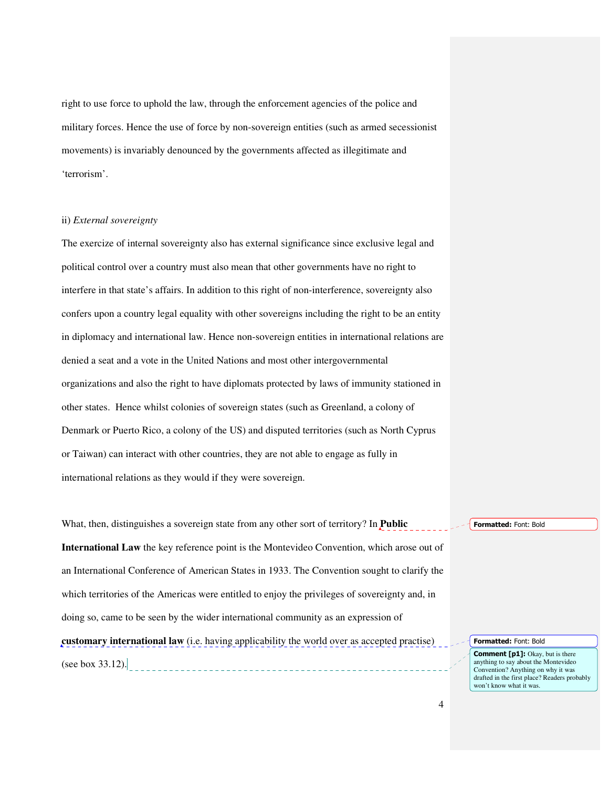right to use force to uphold the law, through the enforcement agencies of the police and military forces. Hence the use of force by non-sovereign entities (such as armed secessionist movements) is invariably denounced by the governments affected as illegitimate and 'terrorism'.

#### ii) *External sovereignty*

The exercize of internal sovereignty also has external significance since exclusive legal and political control over a country must also mean that other governments have no right to interfere in that state's affairs. In addition to this right of non-interference, sovereignty also confers upon a country legal equality with other sovereigns including the right to be an entity in diplomacy and international law. Hence non-sovereign entities in international relations are denied a seat and a vote in the United Nations and most other intergovernmental organizations and also the right to have diplomats protected by laws of immunity stationed in other states. Hence whilst colonies of sovereign states (such as Greenland, a colony of Denmark or Puerto Rico, a colony of the US) and disputed territories (such as North Cyprus or Taiwan) can interact with other countries, they are not able to engage as fully in international relations as they would if they were sovereign.

What, then, distinguishes a sovereign state from any other sort of territory? In **Public International Law** the key reference point is the Montevideo Convention, which arose out of an International Conference of American States in 1933. The Convention sought to clarify the which territories of the Americas were entitled to enjoy the privileges of sovereignty and, in doing so, came to be seen by the wider international community as an expression of **customary international law** (i.e. having applicability the world over as accepted practise) (see box 33.12).

Formatted: Font: Bold

#### Formatted: Font: Bold

4

Comment [p1]: Okay, but is there anything to say about the Montevideo Convention? Anything on why it was drafted in the first place? Readers probably won't know what it was.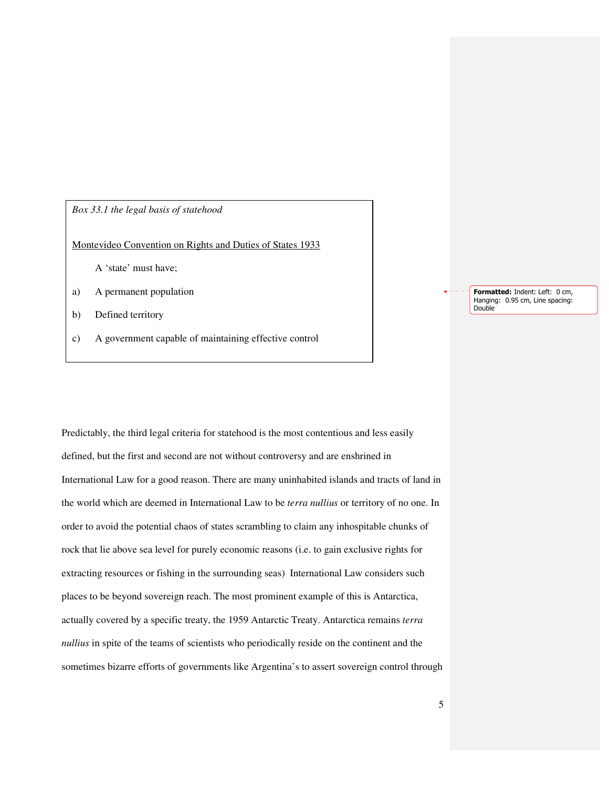*Box 33.1 the legal basis of statehood*

Montevideo Convention on Rights and Duties of States 1933

A 'state' must have;

- a) A permanent population
- b) Defined territory
- c) A government capable of maintaining effective control

Predictably, the third legal criteria for statehood is the most contentious and less easily defined, but the first and second are not without controversy and are enshrined in International Law for a good reason. There are many uninhabited islands and tracts of land in the world which are deemed in International Law to be *terra nullius* or territory of no one. In order to avoid the potential chaos of states scrambling to claim any inhospitable chunks of rock that lie above sea level for purely economic reasons (i.e. to gain exclusive rights for extracting resources or fishing in the surrounding seas) International Law considers such places to be beyond sovereign reach. The most prominent example of this is Antarctica, actually covered by a specific treaty, the 1959 Antarctic Treaty. Antarctica remains *terra nullius* in spite of the teams of scientists who periodically reside on the continent and the sometimes bizarre efforts of governments like Argentina's to assert sovereign control through

Formatted: Indent: Left: 0 cm, Hanging: 0.95 cm, Line spacing: Double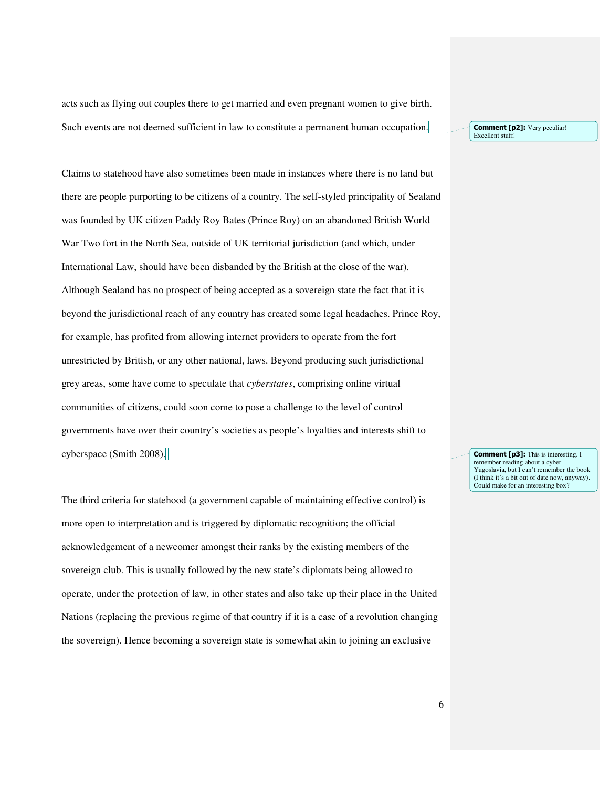acts such as flying out couples there to get married and even pregnant women to give birth. Such events are not deemed sufficient in law to constitute a permanent human occupation.

Claims to statehood have also sometimes been made in instances where there is no land but there are people purporting to be citizens of a country. The self-styled principality of Sealand was founded by UK citizen Paddy Roy Bates (Prince Roy) on an abandoned British World War Two fort in the North Sea, outside of UK territorial jurisdiction (and which, under International Law, should have been disbanded by the British at the close of the war). Although Sealand has no prospect of being accepted as a sovereign state the fact that it is beyond the jurisdictional reach of any country has created some legal headaches. Prince Roy, for example, has profited from allowing internet providers to operate from the fort unrestricted by British, or any other national, laws. Beyond producing such jurisdictional grey areas, some have come to speculate that *cyberstates*, comprising online virtual communities of citizens, could soon come to pose a challenge to the level of control governments have over their country's societies as people's loyalties and interests shift to cyberspace (Smith 2008).

The third criteria for statehood (a government capable of maintaining effective control) is more open to interpretation and is triggered by diplomatic recognition; the official acknowledgement of a newcomer amongst their ranks by the existing members of the sovereign club. This is usually followed by the new state's diplomats being allowed to operate, under the protection of law, in other states and also take up their place in the United Nations (replacing the previous regime of that country if it is a case of a revolution changing the sovereign). Hence becoming a sovereign state is somewhat akin to joining an exclusive

Comment [p2]: Very peculiar! Excellent stuff.

Comment [p3]: This is interesting. I remember reading about a cyber Yugoslavia, but I can't remember the book (I think it's a bit out of date now, anyway). Could make for an interesting box?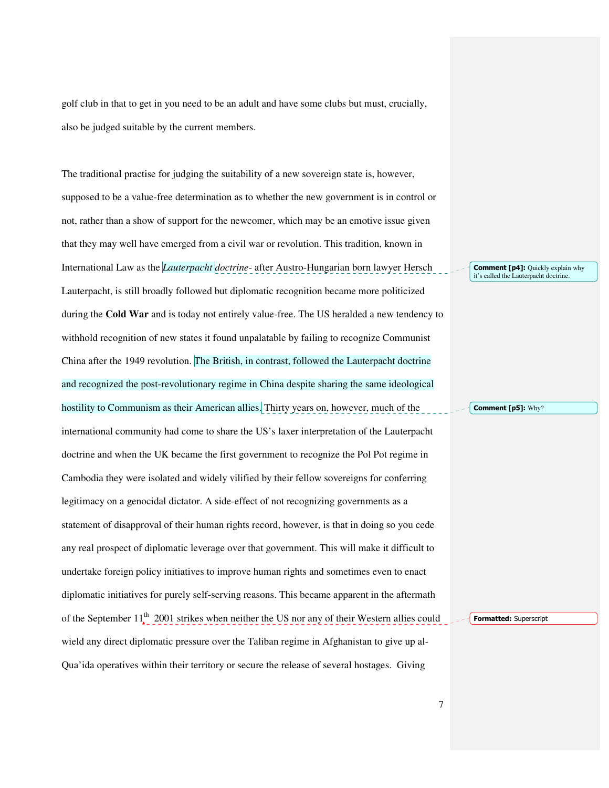golf club in that to get in you need to be an adult and have some clubs but must, crucially, also be judged suitable by the current members.

The traditional practise for judging the suitability of a new sovereign state is, however, supposed to be a value-free determination as to whether the new government is in control or not, rather than a show of support for the newcomer, which may be an emotive issue given that they may well have emerged from a civil war or revolution. This tradition, known in International Law as the *Lauterpacht doctrine*- after Austro-Hungarian born lawyer Hersch Lauterpacht, is still broadly followed but diplomatic recognition became more politicized during the **Cold War** and is today not entirely value-free. The US heralded a new tendency to withhold recognition of new states it found unpalatable by failing to recognize Communist China after the 1949 revolution. The British, in contrast, followed the Lauterpacht doctrine and recognized the post-revolutionary regime in China despite sharing the same ideological hostility to Communism as their American allies. Thirty years on, however, much of the international community had come to share the US's laxer interpretation of the Lauterpacht doctrine and when the UK became the first government to recognize the Pol Pot regime in Cambodia they were isolated and widely vilified by their fellow sovereigns for conferring legitimacy on a genocidal dictator. A side-effect of not recognizing governments as a statement of disapproval of their human rights record, however, is that in doing so you cede any real prospect of diplomatic leverage over that government. This will make it difficult to undertake foreign policy initiatives to improve human rights and sometimes even to enact diplomatic initiatives for purely self-serving reasons. This became apparent in the aftermath of the September  $11<sup>th</sup>$  2001 strikes when neither the US nor any of their Western allies could wield any direct diplomatic pressure over the Taliban regime in Afghanistan to give up al-Qua'ida operatives within their territory or secure the release of several hostages. Giving

Comment [p4]: Quickly explain why it's called the Lauterpacht doctrine.

Comment [p5]: Why?

Formatted: Superscript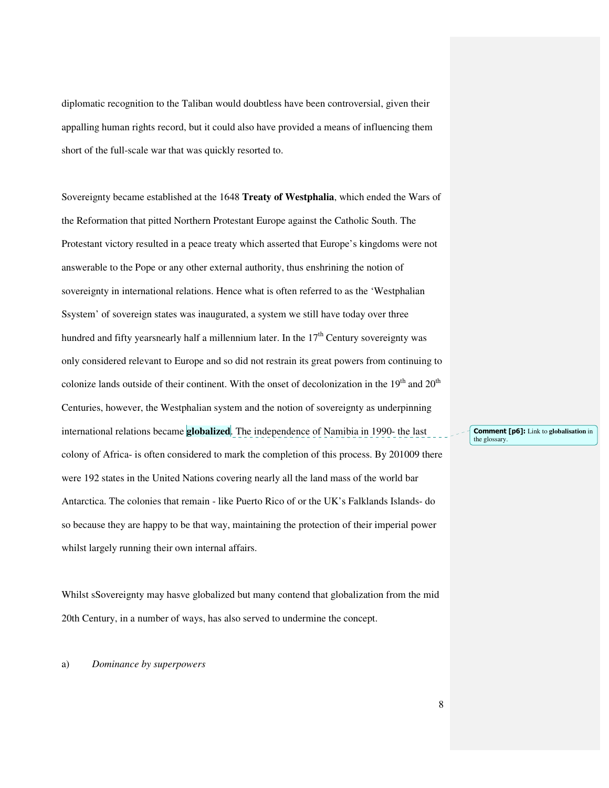diplomatic recognition to the Taliban would doubtless have been controversial, given their appalling human rights record, but it could also have provided a means of influencing them short of the full-scale war that was quickly resorted to.

Sovereignty became established at the 1648 **Treaty of Westphalia**, which ended the Wars of the Reformation that pitted Northern Protestant Europe against the Catholic South. The Protestant victory resulted in a peace treaty which asserted that Europe's kingdoms were not answerable to the Pope or any other external authority, thus enshrining the notion of sovereignty in international relations. Hence what is often referred to as the 'Westphalian Ssystem' of sovereign states was inaugurated, a system we still have today over three hundred and fifty yearsnearly half a millennium later. In the  $17<sup>th</sup>$  Century sovereignty was only considered relevant to Europe and so did not restrain its great powers from continuing to colonize lands outside of their continent. With the onset of decolonization in the  $19<sup>th</sup>$  and  $20<sup>th</sup>$ Centuries, however, the Westphalian system and the notion of sovereignty as underpinning international relations became **globalized**. The independence of Namibia in 1990- the last colony of Africa- is often considered to mark the completion of this process. By 201009 there were 192 states in the United Nations covering nearly all the land mass of the world bar Antarctica. The colonies that remain - like Puerto Rico of or the UK's Falklands Islands- do so because they are happy to be that way, maintaining the protection of their imperial power whilst largely running their own internal affairs.

Whilst sSovereignty may hasve globalized but many contend that globalization from the mid 20th Century, in a number of ways, has also served to undermine the concept.

a)*Dominance by superpowers* 

Comment [p6]: Link to **globalisation** in the glossary.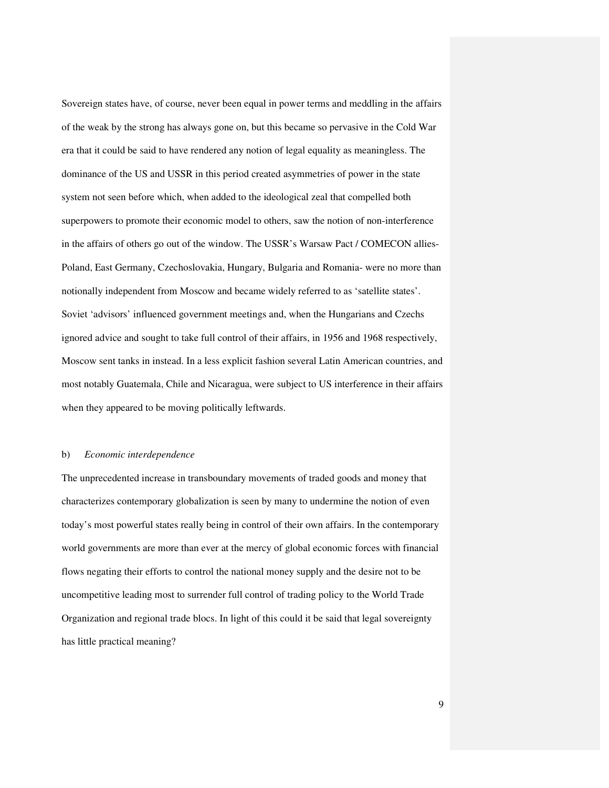Sovereign states have, of course, never been equal in power terms and meddling in the affairs of the weak by the strong has always gone on, but this became so pervasive in the Cold War era that it could be said to have rendered any notion of legal equality as meaningless. The dominance of the US and USSR in this period created asymmetries of power in the state system not seen before which, when added to the ideological zeal that compelled both superpowers to promote their economic model to others, saw the notion of non-interference in the affairs of others go out of the window. The USSR's Warsaw Pact / COMECON allies-Poland, East Germany, Czechoslovakia, Hungary, Bulgaria and Romania- were no more than notionally independent from Moscow and became widely referred to as 'satellite states'. Soviet 'advisors' influenced government meetings and, when the Hungarians and Czechs ignored advice and sought to take full control of their affairs, in 1956 and 1968 respectively, Moscow sent tanks in instead. In a less explicit fashion several Latin American countries, and most notably Guatemala, Chile and Nicaragua, were subject to US interference in their affairs when they appeared to be moving politically leftwards.

#### b) *Economic interdependence*

The unprecedented increase in transboundary movements of traded goods and money that characterizes contemporary globalization is seen by many to undermine the notion of even today's most powerful states really being in control of their own affairs. In the contemporary world governments are more than ever at the mercy of global economic forces with financial flows negating their efforts to control the national money supply and the desire not to be uncompetitive leading most to surrender full control of trading policy to the World Trade Organization and regional trade blocs. In light of this could it be said that legal sovereignty has little practical meaning?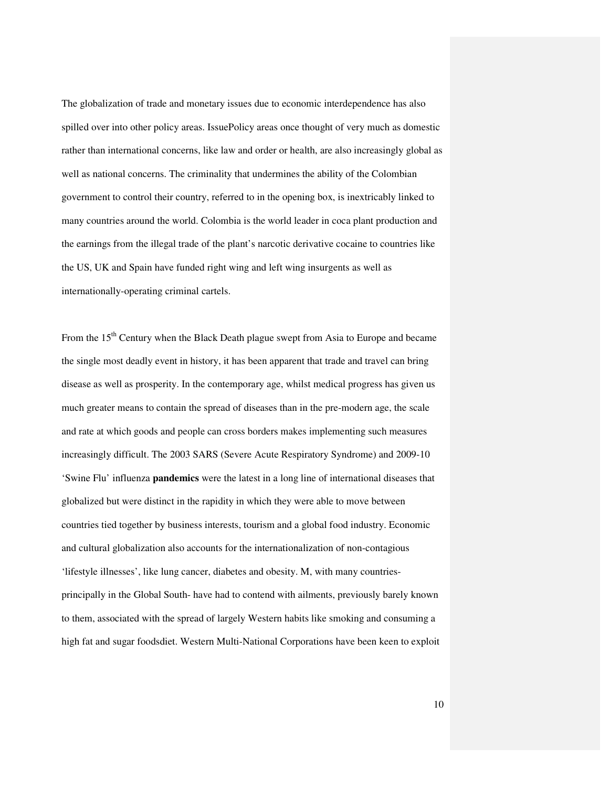The globalization of trade and monetary issues due to economic interdependence has also spilled over into other policy areas. IssuePolicy areas once thought of very much as domestic rather than international concerns, like law and order or health, are also increasingly global as well as national concerns. The criminality that undermines the ability of the Colombian government to control their country, referred to in the opening box, is inextricably linked to many countries around the world. Colombia is the world leader in coca plant production and the earnings from the illegal trade of the plant's narcotic derivative cocaine to countries like the US, UK and Spain have funded right wing and left wing insurgents as well as internationally-operating criminal cartels.

From the 15<sup>th</sup> Century when the Black Death plague swept from Asia to Europe and became the single most deadly event in history, it has been apparent that trade and travel can bring disease as well as prosperity. In the contemporary age, whilst medical progress has given us much greater means to contain the spread of diseases than in the pre-modern age, the scale and rate at which goods and people can cross borders makes implementing such measures increasingly difficult. The 2003 SARS (Severe Acute Respiratory Syndrome) and 2009-10 'Swine Flu' influenza **pandemics** were the latest in a long line of international diseases that globalized but were distinct in the rapidity in which they were able to move between countries tied together by business interests, tourism and a global food industry. Economic and cultural globalization also accounts for the internationalization of non-contagious 'lifestyle illnesses', like lung cancer, diabetes and obesity. M, with many countriesprincipally in the Global South- have had to contend with ailments, previously barely known to them, associated with the spread of largely Western habits like smoking and consuming a high fat and sugar foodsdiet. Western Multi-National Corporations have been keen to exploit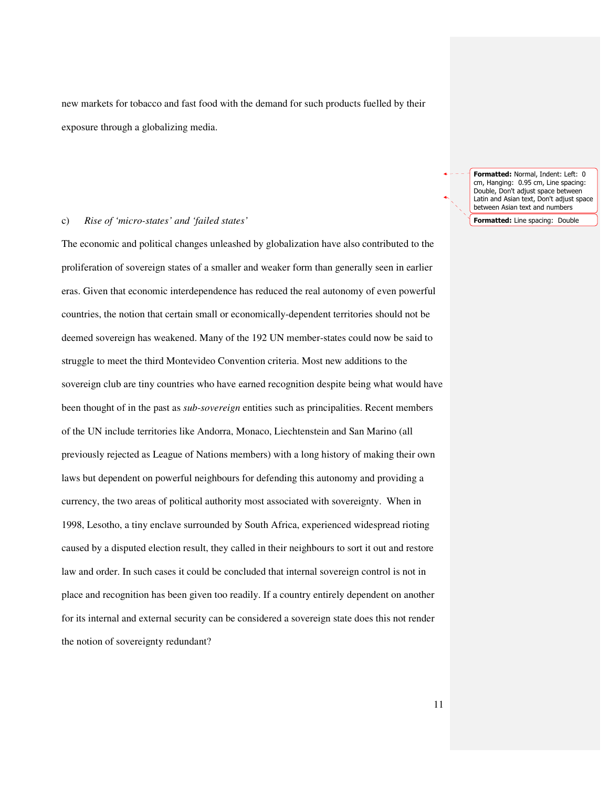new markets for tobacco and fast food with the demand for such products fuelled by their exposure through a globalizing media.

#### c) *Rise of 'micro-states' and 'failed states'*

The economic and political changes unleashed by globalization have also contributed to the proliferation of sovereign states of a smaller and weaker form than generally seen in earlier eras. Given that economic interdependence has reduced the real autonomy of even powerful countries, the notion that certain small or economically-dependent territories should not be deemed sovereign has weakened. Many of the 192 UN member-states could now be said to struggle to meet the third Montevideo Convention criteria. Most new additions to the sovereign club are tiny countries who have earned recognition despite being what would have been thought of in the past as *sub-sovereign* entities such as principalities. Recent members of the UN include territories like Andorra, Monaco, Liechtenstein and San Marino (all previously rejected as League of Nations members) with a long history of making their own laws but dependent on powerful neighbours for defending this autonomy and providing a currency, the two areas of political authority most associated with sovereignty. When in 1998, Lesotho, a tiny enclave surrounded by South Africa, experienced widespread rioting caused by a disputed election result, they called in their neighbours to sort it out and restore law and order. In such cases it could be concluded that internal sovereign control is not in place and recognition has been given too readily. If a country entirely dependent on another for its internal and external security can be considered a sovereign state does this not render the notion of sovereignty redundant?

Formatted: Normal, Indent: Left: 0 cm, Hanging: 0.95 cm, Line spacing: Double, Don't adjust space between Latin and Asian text, Don't adjust space between Asian text and numbers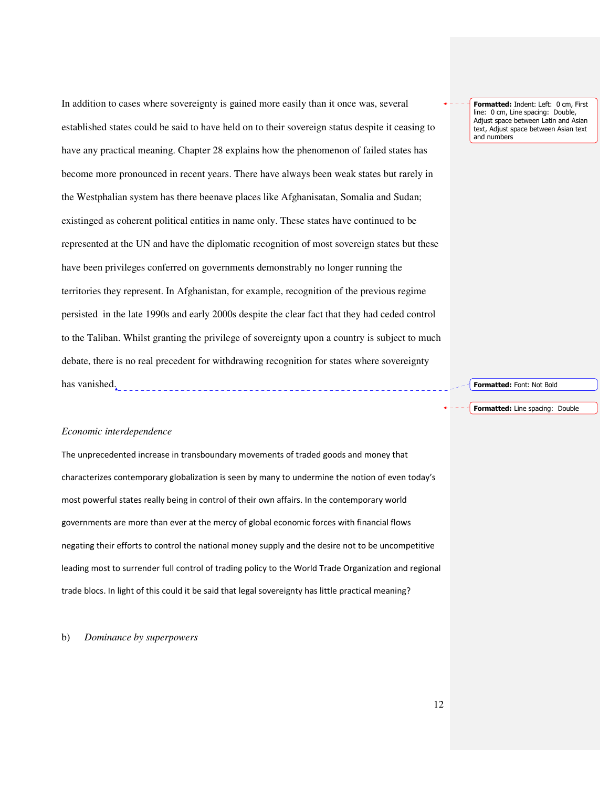In addition to cases where sovereignty is gained more easily than it once was, several established states could be said to have held on to their sovereign status despite it ceasing to have any practical meaning. Chapter 28 explains how the phenomenon of failed states has become more pronounced in recent years. There have always been weak states but rarely in the Westphalian system has there beenave places like Afghanisatan, Somalia and Sudan; existinged as coherent political entities in name only. These states have continued to be represented at the UN and have the diplomatic recognition of most sovereign states but these have been privileges conferred on governments demonstrably no longer running the territories they represent. In Afghanistan, for example, recognition of the previous regime persisted in the late 1990s and early 2000s despite the clear fact that they had ceded control to the Taliban. Whilst granting the privilege of sovereignty upon a country is subject to much debate, there is no real precedent for withdrawing recognition for states where sovereignty has vanished.

#### *Economic interdependence*

The unprecedented increase in transboundary movements of traded goods and money that characterizes contemporary globalization is seen by many to undermine the notion of even today's most powerful states really being in control of their own affairs. In the contemporary world governments are more than ever at the mercy of global economic forces with financial flows negating their efforts to control the national money supply and the desire not to be uncompetitive leading most to surrender full control of trading policy to the World Trade Organization and regional trade blocs. In light of this could it be said that legal sovereignty has little practical meaning?

b) *Dominance by superpowers* 

Formatted: Indent: Left: 0 cm, First line: 0 cm, Line spacing: Double, Adjust space between Latin and Asian text, Adjust space between Asian text and numbers

Formatted: Font: Not Bold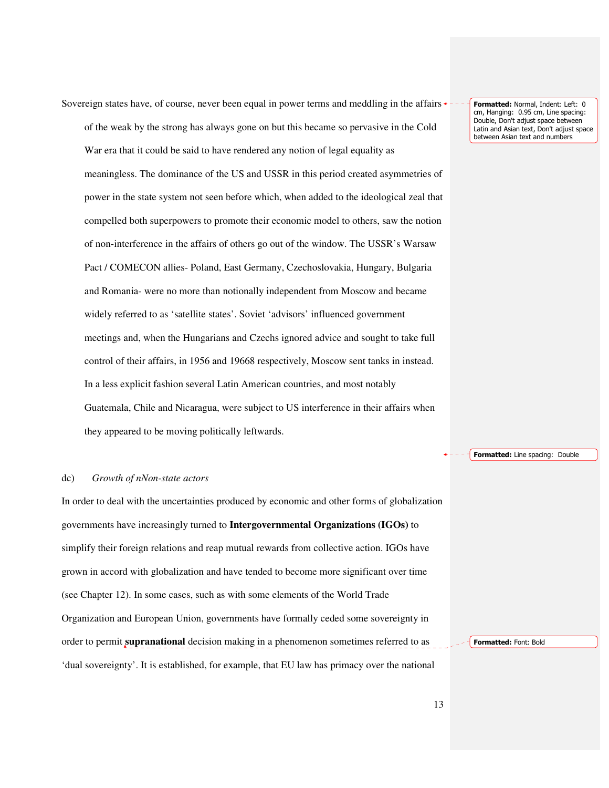Sovereign states have, of course, never been equal in power terms and meddling in the affairs  $\leftarrow$ of the weak by the strong has always gone on but this became so pervasive in the Cold War era that it could be said to have rendered any notion of legal equality as meaningless. The dominance of the US and USSR in this period created asymmetries of power in the state system not seen before which, when added to the ideological zeal that compelled both superpowers to promote their economic model to others, saw the notion of non-interference in the affairs of others go out of the window. The USSR's Warsaw Pact / COMECON allies- Poland, East Germany, Czechoslovakia, Hungary, Bulgaria and Romania- were no more than notionally independent from Moscow and became widely referred to as 'satellite states'. Soviet 'advisors' influenced government meetings and, when the Hungarians and Czechs ignored advice and sought to take full control of their affairs, in 1956 and 19668 respectively, Moscow sent tanks in instead. In a less explicit fashion several Latin American countries, and most notably Guatemala, Chile and Nicaragua, were subject to US interference in their affairs when they appeared to be moving politically leftwards.

#### dc) *Growth of nNon-state actors*

In order to deal with the uncertainties produced by economic and other forms of globalization governments have increasingly turned to **Intergovernmental Organizations (IGOs)** to simplify their foreign relations and reap mutual rewards from collective action. IGOs have grown in accord with globalization and have tended to become more significant over time (see Chapter 12). In some cases, such as with some elements of the World Trade Organization and European Union, governments have formally ceded some sovereignty in order to permit **supranational** decision making in a phenomenon sometimes referred to as 'dual sovereignty'. It is established, for example, that EU law has primacy over the national

Formatted: Normal, Indent: Left: 0 cm, Hanging: 0.95 cm, Line spacing: Double, Don't adjust space between Latin and Asian text, Don't adjust space between Asian text and numbers

Formatted: Font: Bold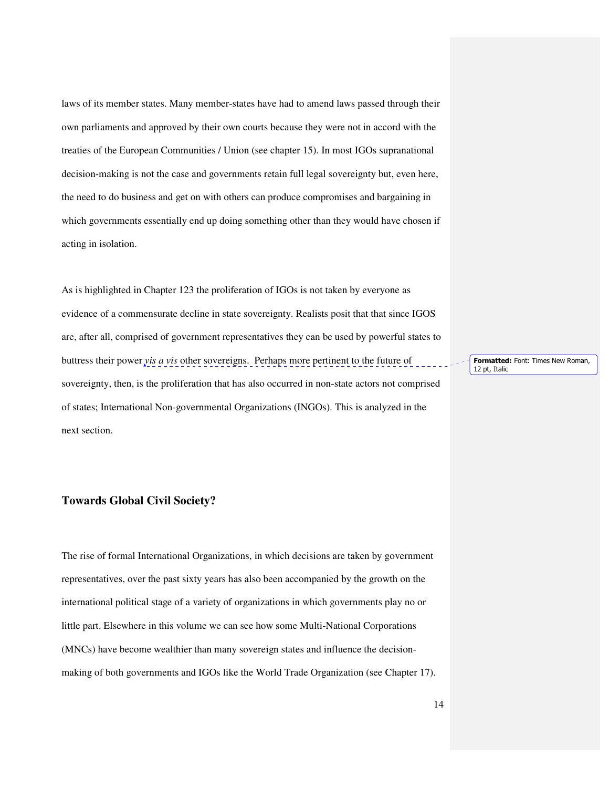laws of its member states. Many member-states have had to amend laws passed through their own parliaments and approved by their own courts because they were not in accord with the treaties of the European Communities / Union (see chapter 15). In most IGOs supranational decision-making is not the case and governments retain full legal sovereignty but, even here, the need to do business and get on with others can produce compromises and bargaining in which governments essentially end up doing something other than they would have chosen if acting in isolation.

As is highlighted in Chapter 123 the proliferation of IGOs is not taken by everyone as evidence of a commensurate decline in state sovereignty. Realists posit that that since IGOS are, after all, comprised of government representatives they can be used by powerful states to buttress their power *vis a vis* other sovereigns. Perhaps more pertinent to the future of sovereignty, then, is the proliferation that has also occurred in non-state actors not comprised of states; International Non-governmental Organizations (INGOs). This is analyzed in the next section.

#### **Towards Global Civil Society?**

The rise of formal International Organizations, in which decisions are taken by government representatives, over the past sixty years has also been accompanied by the growth on the international political stage of a variety of organizations in which governments play no or little part. Elsewhere in this volume we can see how some Multi-National Corporations (MNCs) have become wealthier than many sovereign states and influence the decisionmaking of both governments and IGOs like the World Trade Organization (see Chapter 17). Formatted: Font: Times New Roman, 12 pt, Italic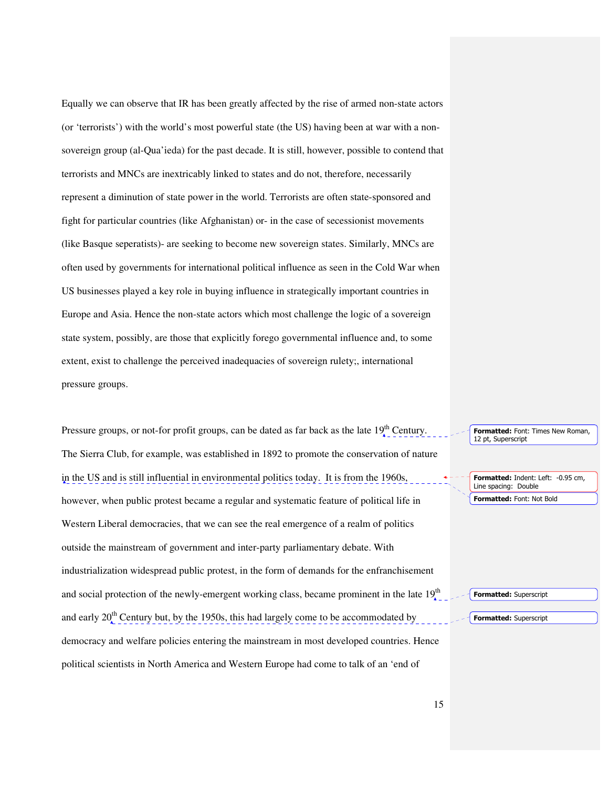Equally we can observe that IR has been greatly affected by the rise of armed non-state actors (or 'terrorists') with the world's most powerful state (the US) having been at war with a nonsovereign group (al-Qua'ieda) for the past decade. It is still, however, possible to contend that terrorists and MNCs are inextricably linked to states and do not, therefore, necessarily represent a diminution of state power in the world. Terrorists are often state-sponsored and fight for particular countries (like Afghanistan) or- in the case of secessionist movements (like Basque seperatists)- are seeking to become new sovereign states. Similarly, MNCs are often used by governments for international political influence as seen in the Cold War when US businesses played a key role in buying influence in strategically important countries in Europe and Asia. Hence the non-state actors which most challenge the logic of a sovereign state system, possibly, are those that explicitly forego governmental influence and, to some extent, exist to challenge the perceived inadequacies of sovereign rulety;, international pressure groups.

Pressure groups, or not-for profit groups, can be dated as far back as the late  $19<sup>th</sup>$  Century. The Sierra Club, for example, was established in 1892 to promote the conservation of nature in the US and is still influential in environmental politics today. It is from the 1960s, however, when public protest became a regular and systematic feature of political life in Western Liberal democracies, that we can see the real emergence of a realm of politics outside the mainstream of government and inter-party parliamentary debate. With industrialization widespread public protest, in the form of demands for the enfranchisement and social protection of the newly-emergent working class, became prominent in the late 19<sup>th</sup> Formatted: Superscript and early  $20<sup>th</sup>$  Century but, by the 1950s, this had largely come to be accommodated by democracy and welfare policies entering the mainstream in most developed countries. Hence political scientists in North America and Western Europe had come to talk of an 'end of

Formatted: Font: Times New Roman, 12 pt, Superscript

Formatted: Indent: Left: -0.95 cm, Line spacing: Double Formatted: Font: Not Bold

**Formatted:** Superscript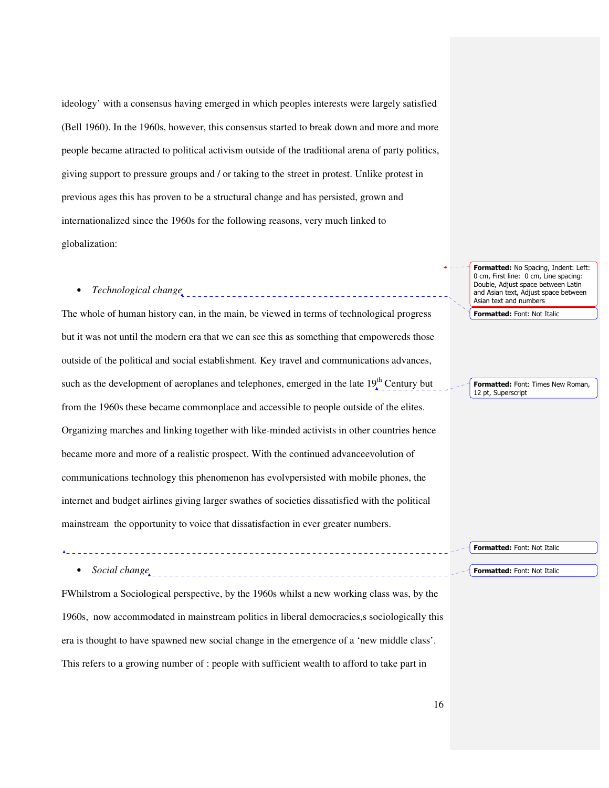ideology' with a consensus having emerged in which peoples interests were largely satisfied (Bell 1960). In the 1960s, however, this consensus started to break down and more and more people became attracted to political activism outside of the traditional arena of party politics, giving support to pressure groups and / or taking to the street in protest. Unlike protest in previous ages this has proven to be a structural change and has persisted, grown and internationalized since the 1960s for the following reasons, very much linked to globalization:

## • *Technological change*

The whole of human history can, in the main, be viewed in terms of technological progress but it was not until the modern era that we can see this as something that empowereds those outside of the political and social establishment. Key travel and communications advances, such as the development of aeroplanes and telephones, emerged in the late  $19<sup>th</sup>$  Century but from the 1960s these became commonplace and accessible to people outside of the elites. Organizing marches and linking together with like-minded activists in other countries hence became more and more of a realistic prospect. With the continued advanceevolution of communications technology this phenomenon has evolvpersisted with mobile phones, the internet and budget airlines giving larger swathes of societies dissatisfied with the political mainstream the opportunity to voice that dissatisfaction in ever greater numbers.

• *Social change*

FWhilstrom a Sociological perspective, by the 1960s whilst a new working class was, by the 1960s, now accommodated in mainstream politics in liberal democracies,s sociologically this era is thought to have spawned new social change in the emergence of a 'new middle class'. This refers to a growing number of : people with sufficient wealth to afford to take part in

Formatted: No Spacing, Indent: Left: 0 cm, First line: 0 cm, Line spacing: Double, Adjust space between Latin and Asian text, Adjust space between Asian text and numbers

Formatted: Font: Not Italic

Formatted: Font: Times New Roman, 12 pt, Superscript

Formatted: Font: Not Italic

Formatted: Font: Not Italic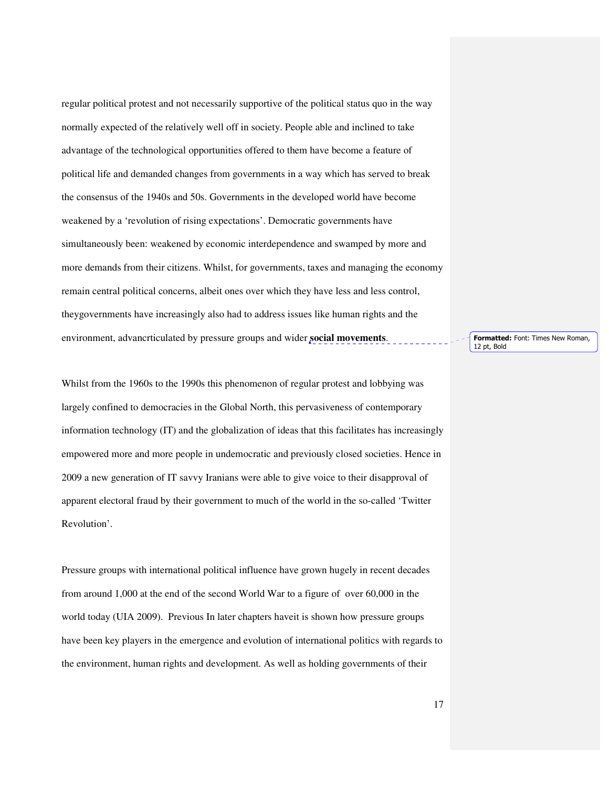regular political protest and not necessarily supportive of the political status quo in the way normally expected of the relatively well off in society. People able and inclined to take advantage of the technological opportunities offered to them have become a feature of political life and demanded changes from governments in a way which has served to break the consensus of the 1940s and 50s. Governments in the developed world have become weakened by a 'revolution of rising expectations'. Democratic governments have simultaneously been: weakened by economic interdependence and swamped by more and more demands from their citizens. Whilst, for governments, taxes and managing the economy remain central political concerns, albeit ones over which they have less and less control, theygovernments have increasingly also had to address issues like human rights and the environment, advancrticulated by pressure groups and wider **social movements**.

Whilst from the 1960s to the 1990s this phenomenon of regular protest and lobbying was largely confined to democracies in the Global North, this pervasiveness of contemporary information technology (IT) and the globalization of ideas that this facilitates has increasingly empowered more and more people in undemocratic and previously closed societies. Hence in 2009 a new generation of IT savvy Iranians were able to give voice to their disapproval of apparent electoral fraud by their government to much of the world in the so-called 'Twitter Revolution'.

Pressure groups with international political influence have grown hugely in recent decades from around 1,000 at the end of the second World War to a figure of over 60,000 in the world today (UIA 2009). Previous In later chapters haveit is shown how pressure groups have been key players in the emergence and evolution of international politics with regards to the environment, human rights and development. As well as holding governments of their

Formatted: Font: Times New Roman, 12 pt, Bold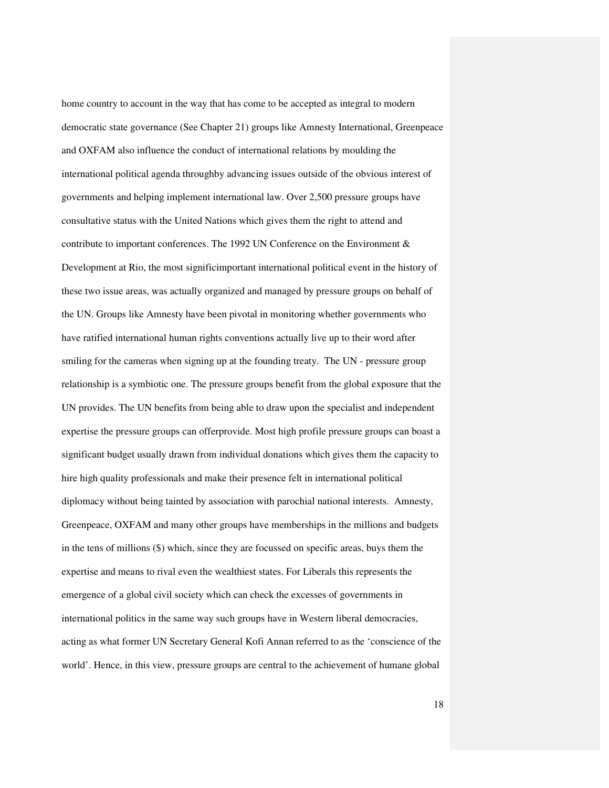home country to account in the way that has come to be accepted as integral to modern democratic state governance (See Chapter 21) groups like Amnesty International, Greenpeace and OXFAM also influence the conduct of international relations by moulding the international political agenda throughby advancing issues outside of the obvious interest of governments and helping implement international law. Over 2,500 pressure groups have consultative status with the United Nations which gives them the right to attend and contribute to important conferences. The 1992 UN Conference on the Environment & Development at Rio, the most significimportant international political event in the history of these two issue areas, was actually organized and managed by pressure groups on behalf of the UN. Groups like Amnesty have been pivotal in monitoring whether governments who have ratified international human rights conventions actually live up to their word after smiling for the cameras when signing up at the founding treaty. The UN - pressure group relationship is a symbiotic one. The pressure groups benefit from the global exposure that the UN provides. The UN benefits from being able to draw upon the specialist and independent expertise the pressure groups can offerprovide. Most high profile pressure groups can boast a significant budget usually drawn from individual donations which gives them the capacity to hire high quality professionals and make their presence felt in international political diplomacy without being tainted by association with parochial national interests. Amnesty, Greenpeace, OXFAM and many other groups have memberships in the millions and budgets in the tens of millions (\$) which, since they are focussed on specific areas, buys them the expertise and means to rival even the wealthiest states. For Liberals this represents the emergence of a global civil society which can check the excesses of governments in international politics in the same way such groups have in Western liberal democracies, acting as what former UN Secretary General Kofi Annan referred to as the 'conscience of the world'. Hence, in this view, pressure groups are central to the achievement of humane global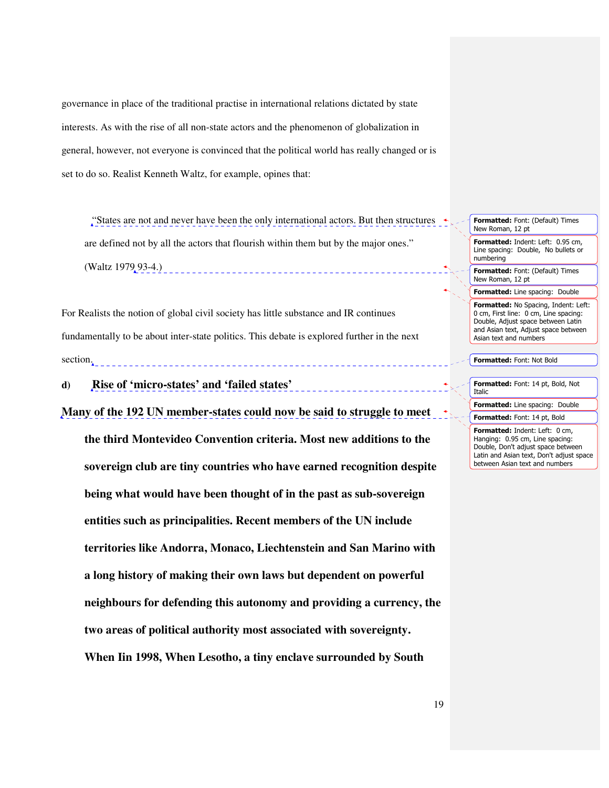governance in place of the traditional practise in international relations dictated by state interests. As with the rise of all non-state actors and the phenomenon of globalization in general, however, not everyone is convinced that the political world has really changed or is set to do so. Realist Kenneth Waltz, for example, opines that:

"States are not and never have been the only international actors. But then structures are defined not by all the actors that flourish within them but by the major ones." (Waltz 1979 93-4.)

For Realists the notion of global civil society has little substance and IR continues fundamentally to be about inter-state politics. This debate is explored further in the next section. 

**d) Rise of 'micro-states' and 'failed states'** 

**Many of the 192 UN member-states could now be said to struggle to meet the third Montevideo Convention criteria. Most new additions to the sovereign club are tiny countries who have earned recognition despite being what would have been thought of in the past as sub-sovereign entities such as principalities. Recent members of the UN include territories like Andorra, Monaco, Liechtenstein and San Marino with a long history of making their own laws but dependent on powerful neighbours for defending this autonomy and providing a currency, the two areas of political authority most associated with sovereignty. When Iin 1998, When Lesotho, a tiny enclave surrounded by South** 

Line spacing: Double, No bullets or numbering Formatted: Line spacing: Double Formatted: Font: (Default) Times New Roman, 12 pt Formatted: No Spacing, Indent: Left: 0 cm, First line: 0 cm, Line spacing: Double, Adjust space between Latin and Asian text, Adjust space between Asian text and numbers Formatted: Font: Not Bold Formatted: Line spacing: Double Formatted: Font: 14 pt, Bold, Not Italic

Formatted: Font: (Default) Times

Formatted: Indent: Left: 0.95 cm,

New Roman, 12 pt

Formatted: Font: 14 pt, Bold

Formatted: Indent: Left: 0 cm, Hanging: 0.95 cm, Line spacing: Double, Don't adjust space between Latin and Asian text, Don't adjust space between Asian text and numbers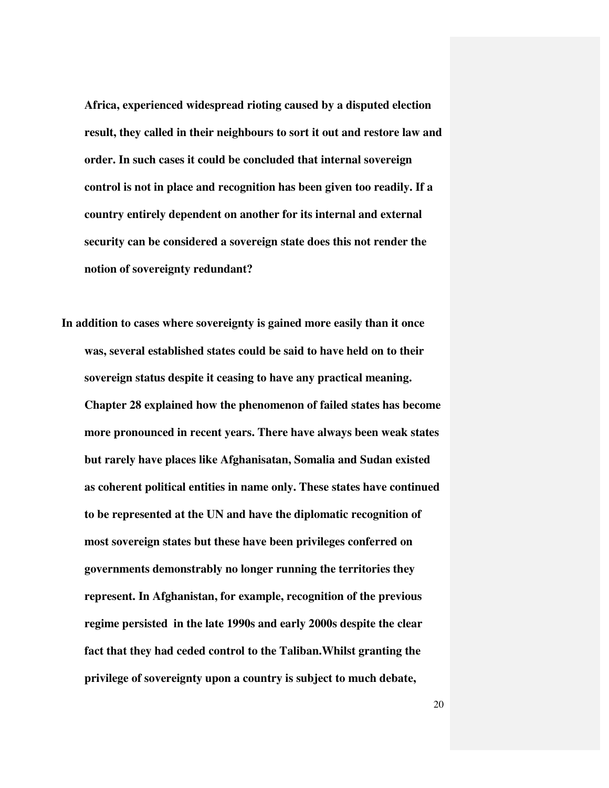**Africa, experienced widespread rioting caused by a disputed election result, they called in their neighbours to sort it out and restore law and order. In such cases it could be concluded that internal sovereign control is not in place and recognition has been given too readily. If a country entirely dependent on another for its internal and external security can be considered a sovereign state does this not render the notion of sovereignty redundant?** 

**In addition to cases where sovereignty is gained more easily than it once was, several established states could be said to have held on to their sovereign status despite it ceasing to have any practical meaning. Chapter 28 explained how the phenomenon of failed states has become more pronounced in recent years. There have always been weak states but rarely have places like Afghanisatan, Somalia and Sudan existed as coherent political entities in name only. These states have continued to be represented at the UN and have the diplomatic recognition of most sovereign states but these have been privileges conferred on governments demonstrably no longer running the territories they represent. In Afghanistan, for example, recognition of the previous regime persisted in the late 1990s and early 2000s despite the clear fact that they had ceded control to the Taliban.Whilst granting the privilege of sovereignty upon a country is subject to much debate,**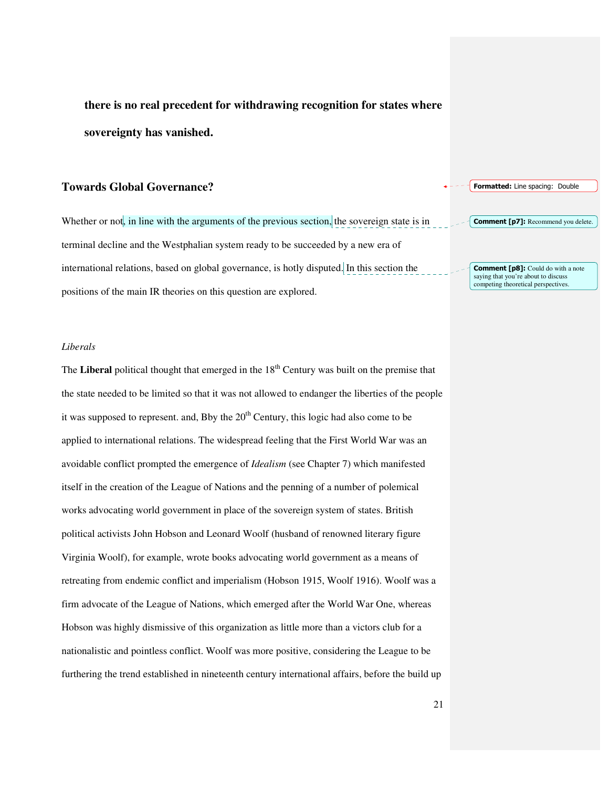## **there is no real precedent for withdrawing recognition for states where sovereignty has vanished.**

#### **Towards Global Governance?**

Whether or not, in line with the arguments of the previous section, the sovereign state is in terminal decline and the Westphalian system ready to be succeeded by a new era of international relations, based on global governance, is hotly disputed. In this section the positions of the main IR theories on this question are explored.

#### *Liberals*

The **Liberal** political thought that emerged in the 18<sup>th</sup> Century was built on the premise that the state needed to be limited so that it was not allowed to endanger the liberties of the people it was supposed to represent. and, Bby the  $20<sup>th</sup>$  Century, this logic had also come to be applied to international relations. The widespread feeling that the First World War was an avoidable conflict prompted the emergence of *Idealism* (see Chapter 7) which manifested itself in the creation of the League of Nations and the penning of a number of polemical works advocating world government in place of the sovereign system of states. British political activists John Hobson and Leonard Woolf (husband of renowned literary figure Virginia Woolf), for example, wrote books advocating world government as a means of retreating from endemic conflict and imperialism (Hobson 1915, Woolf 1916). Woolf was a firm advocate of the League of Nations, which emerged after the World War One, whereas Hobson was highly dismissive of this organization as little more than a victors club for a nationalistic and pointless conflict. Woolf was more positive, considering the League to be furthering the trend established in nineteenth century international affairs, before the build up

**Comment [p8]:** Could do with a note saying that you're about to discuss competing theoretical perspectives.

Formatted: Line spacing: Double

Comment [p7]: Recommend you delete.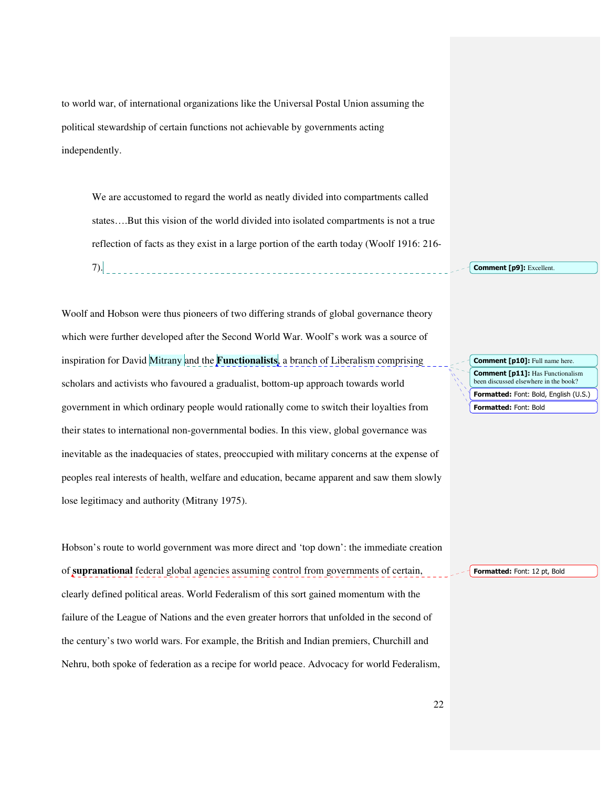to world war, of international organizations like the Universal Postal Union assuming the political stewardship of certain functions not achievable by governments acting independently.

We are accustomed to regard the world as neatly divided into compartments called states….But this vision of the world divided into isolated compartments is not a true reflection of facts as they exist in a large portion of the earth today (Woolf 1916: 216-

7). Comment [p9]: Excellent.

Woolf and Hobson were thus pioneers of two differing strands of global governance theory which were further developed after the Second World War. Woolf's work was a source of inspiration for David Mitrany and the **Functionalists**, a branch of Liberalism comprising scholars and activists who favoured a gradualist, bottom-up approach towards world government in which ordinary people would rationally come to switch their loyalties from their states to international non-governmental bodies. In this view, global governance was inevitable as the inadequacies of states, preoccupied with military concerns at the expense of peoples real interests of health, welfare and education, became apparent and saw them slowly lose legitimacy and authority (Mitrany 1975).

Hobson's route to world government was more direct and 'top down': the immediate creation of **supranational** federal global agencies assuming control from governments of certain, clearly defined political areas. World Federalism of this sort gained momentum with the failure of the League of Nations and the even greater horrors that unfolded in the second of the century's two world wars. For example, the British and Indian premiers, Churchill and Nehru, both spoke of federation as a recipe for world peace. Advocacy for world Federalism,

Comment [p10]: Full name here. Formatted: Font: Bold, English (U.S.) Comment [p11]: Has Functionalism been discussed elsewhere in the book? Formatted: Font: Bold

Formatted: Font: 12 pt, Bold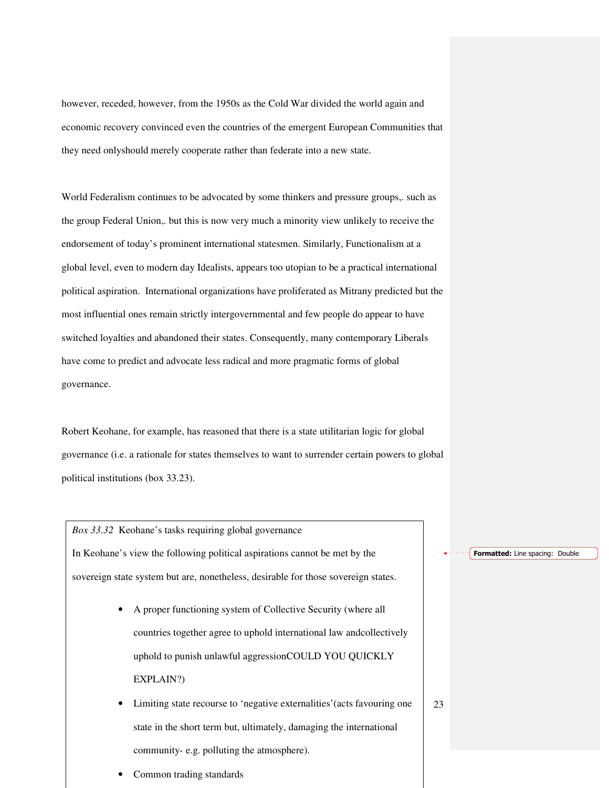however, receded, however, from the 1950s as the Cold War divided the world again and economic recovery convinced even the countries of the emergent European Communities that they need onlyshould merely cooperate rather than federate into a new state.

World Federalism continues to be advocated by some thinkers and pressure groups,. such as the group Federal Union,. but this is now very much a minority view unlikely to receive the endorsement of today's prominent international statesmen. Similarly, Functionalism at a global level, even to modern day Idealists, appears too utopian to be a practical international political aspiration. International organizations have proliferated as Mitrany predicted but the most influential ones remain strictly intergovernmental and few people do appear to have switched loyalties and abandoned their states. Consequently, many contemporary Liberals have come to predict and advocate less radical and more pragmatic forms of global governance.

Robert Keohane, for example, has reasoned that there is a state utilitarian logic for global governance (i.e. a rationale for states themselves to want to surrender certain powers to global political institutions (box 33.23).

*Box 33.32* Keohane's tasks requiring global governance In Keohane's view the following political aspirations cannot be met by the sovereign state system but are, nonetheless, desirable for those sovereign states.

- A proper functioning system of Collective Security (where all countries together agree to uphold international law andcollectively uphold to punish unlawful aggressionCOULD YOU QUICKLY EXPLAIN?)
- Limiting state recourse to 'negative externalities'(acts favouring one state in the short term but, ultimately, damaging the international community- e.g. polluting the atmosphere).
- Common trading standards

Formatted: Line spacing: Double

23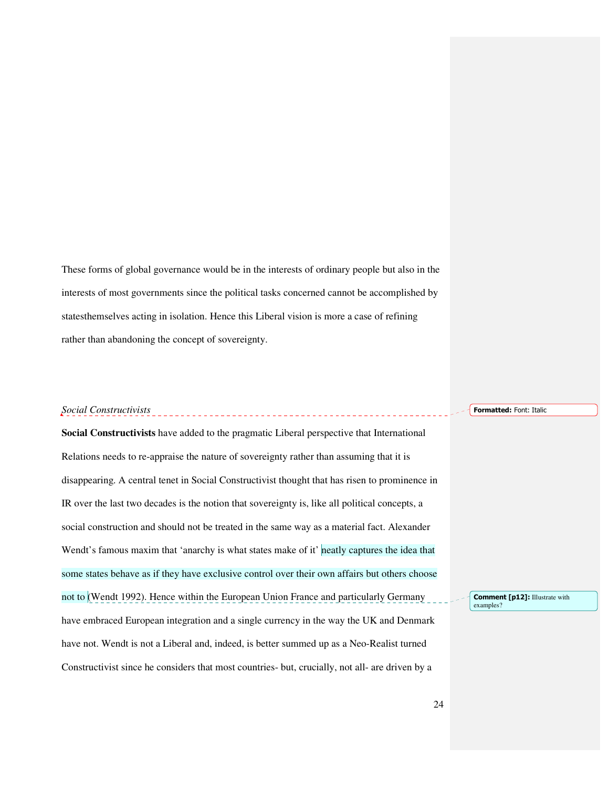These forms of global governance would be in the interests of ordinary people but also in the interests of most governments since the political tasks concerned cannot be accomplished by statesthemselves acting in isolation. Hence this Liberal vision is more a case of refining rather than abandoning the concept of sovereignty.

\_\_\_\_\_\_\_\_\_\_\_\_\_\_\_\_\_\_\_\_\_\_\_\_\_\_\_\_\_\_\_

#### *Social Constructivists*

**Social Constructivists** have added to the pragmatic Liberal perspective that International Relations needs to re-appraise the nature of sovereignty rather than assuming that it is disappearing. A central tenet in Social Constructivist thought that has risen to prominence in IR over the last two decades is the notion that sovereignty is, like all political concepts, a social construction and should not be treated in the same way as a material fact. Alexander Wendt's famous maxim that 'anarchy is what states make of it' neatly captures the idea that some states behave as if they have exclusive control over their own affairs but others choose not to (Wendt 1992). Hence within the European Union France and particularly Germany have embraced European integration and a single currency in the way the UK and Denmark have not. Wendt is not a Liberal and, indeed, is better summed up as a Neo-Realist turned Constructivist since he considers that most countries- but, crucially, not all- are driven by a

#### Formatted: Font: Italic

Comment [p12]: Illustrate with examples?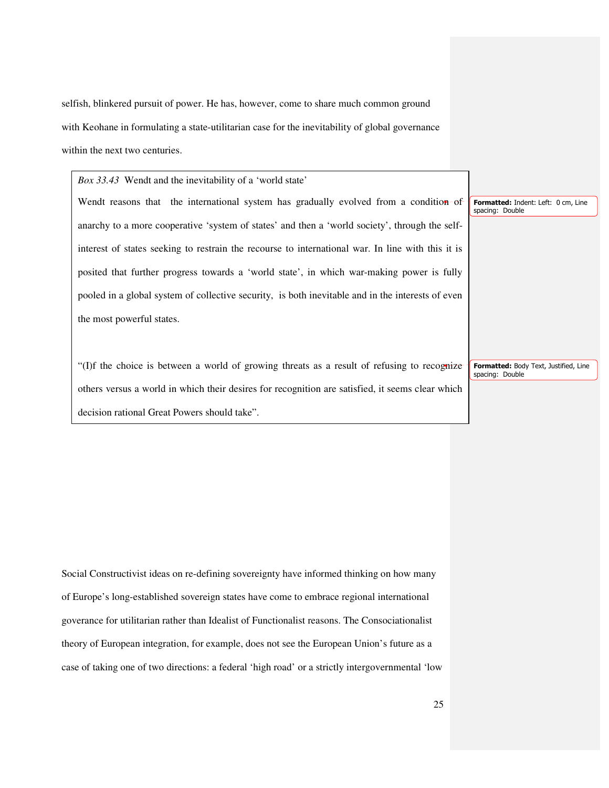selfish, blinkered pursuit of power. He has, however, come to share much common ground with Keohane in formulating a state-utilitarian case for the inevitability of global governance within the next two centuries.

*Box 33.43* Wendt and the inevitability of a 'world state'

Wendt reasons that the international system has gradually evolved from a condition-of anarchy to a more cooperative 'system of states' and then a 'world society', through the selfinterest of states seeking to restrain the recourse to international war. In line with this it is posited that further progress towards a 'world state', in which war-making power is fully pooled in a global system of collective security, is both inevitable and in the interests of even the most powerful states. Formatted: Indent: Left: 0 cm, Line spacing: Double

"(I)f the choice is between a world of growing threats as a result of refusing to recognize others versus a world in which their desires for recognition are satisfied, it seems clear which decision rational Great Powers should take".

Social Constructivist ideas on re-defining sovereignty have informed thinking on how many of Europe's long-established sovereign states have come to embrace regional international goverance for utilitarian rather than Idealist of Functionalist reasons. The Consociationalist theory of European integration, for example, does not see the European Union's future as a case of taking one of two directions: a federal 'high road' or a strictly intergovernmental 'low Formatted: Body Text, Justified, Line spacing: Double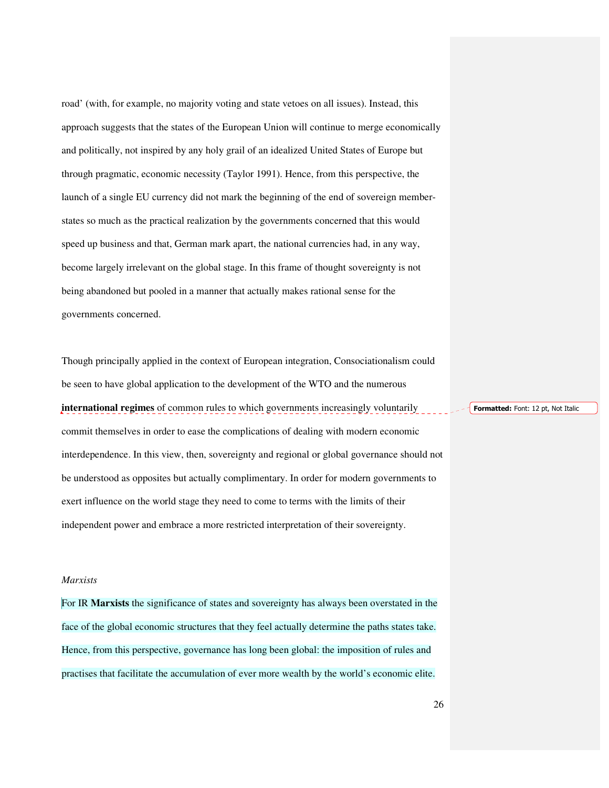road' (with, for example, no majority voting and state vetoes on all issues). Instead, this approach suggests that the states of the European Union will continue to merge economically and politically, not inspired by any holy grail of an idealized United States of Europe but through pragmatic, economic necessity (Taylor 1991). Hence, from this perspective, the launch of a single EU currency did not mark the beginning of the end of sovereign memberstates so much as the practical realization by the governments concerned that this would speed up business and that, German mark apart, the national currencies had, in any way, become largely irrelevant on the global stage. In this frame of thought sovereignty is not being abandoned but pooled in a manner that actually makes rational sense for the governments concerned.

Though principally applied in the context of European integration, Consociationalism could be seen to have global application to the development of the WTO and the numerous **international regimes** of common rules to which governments increasingly voluntarily commit themselves in order to ease the complications of dealing with modern economic interdependence. In this view, then, sovereignty and regional or global governance should not be understood as opposites but actually complimentary. In order for modern governments to exert influence on the world stage they need to come to terms with the limits of their independent power and embrace a more restricted interpretation of their sovereignty.

#### *Marxists*

For IR **Marxists** the significance of states and sovereignty has always been overstated in the face of the global economic structures that they feel actually determine the paths states take. Hence, from this perspective, governance has long been global: the imposition of rules and practises that facilitate the accumulation of ever more wealth by the world's economic elite.

Formatted: Font: 12 pt, Not Italic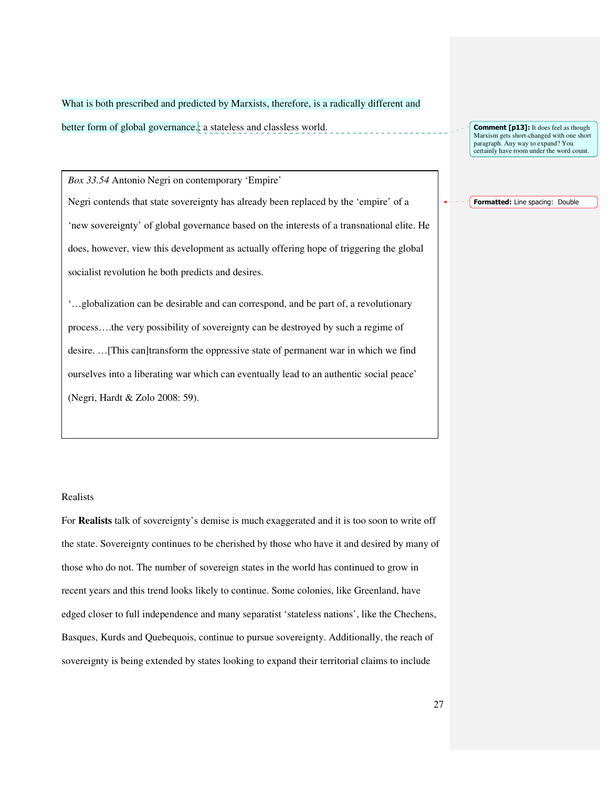What is both prescribed and predicted by Marxists, therefore, is a radically different and better form of global governance.; a stateless and classless world.

*Box 33.54* Antonio Negri on contemporary 'Empire'

Negri contends that state sovereignty has already been replaced by the 'empire' of a 'new sovereignty' of global governance based on the interests of a transnational elite. He does, however, view this development as actually offering hope of triggering the global socialist revolution he both predicts and desires.

'…globalization can be desirable and can correspond, and be part of, a revolutionary process….the very possibility of sovereignty can be destroyed by such a regime of desire. …[This can]transform the oppressive state of permanent war in which we find ourselves into a liberating war which can eventually lead to an authentic social peace' (Negri, Hardt & Zolo 2008: 59).

#### Realists

For **Realists** talk of sovereignty's demise is much exaggerated and it is too soon to write off the state. Sovereignty continues to be cherished by those who have it and desired by many of those who do not. The number of sovereign states in the world has continued to grow in recent years and this trend looks likely to continue. Some colonies, like Greenland, have edged closer to full independence and many separatist 'stateless nations', like the Chechens, Basques, Kurds and Quebequois, continue to pursue sovereignty. Additionally, the reach of sovereignty is being extended by states looking to expand their territorial claims to include

Comment [p13]: It does feel as though Marxism gets short-changed with one short paragraph. Any way to expand? You certainly have room under the word count.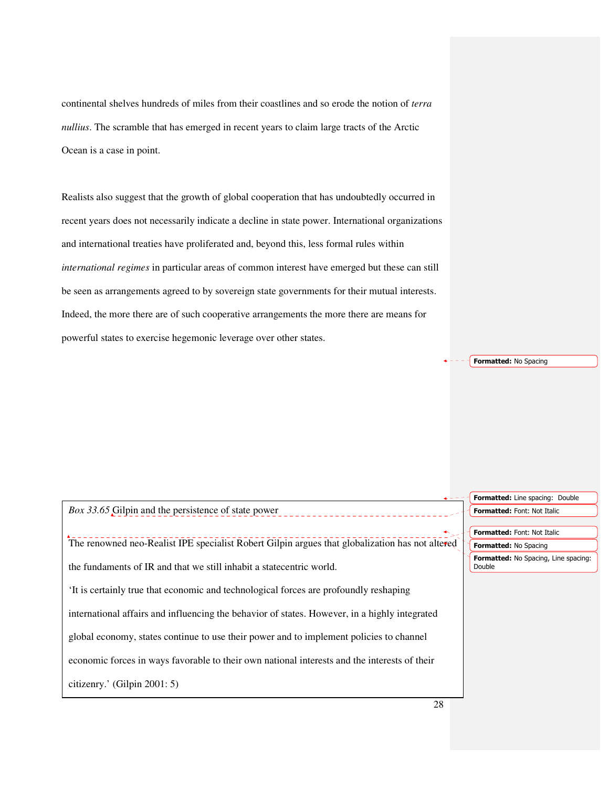continental shelves hundreds of miles from their coastlines and so erode the notion of *terra nullius*. The scramble that has emerged in recent years to claim large tracts of the Arctic Ocean is a case in point.

Realists also suggest that the growth of global cooperation that has undoubtedly occurred in recent years does not necessarily indicate a decline in state power. International organizations and international treaties have proliferated and, beyond this, less formal rules within *international regimes* in particular areas of common interest have emerged but these can still be seen as arrangements agreed to by sovereign state governments for their mutual interests. Indeed, the more there are of such cooperative arrangements the more there are means for powerful states to exercise hegemonic leverage over other states.

**The renowned neo-Realist IPE specialist Robert Gilpin argues that globalization has not altered** *Box 33.65* Gilpin and the persistence of state power the fundaments of IR and that we still inhabit a statecentric world. 'It is certainly true that economic and technological forces are profoundly reshaping international affairs and influencing the behavior of states. However, in a highly integrated global economy, states continue to use their power and to implement policies to channel economic forces in ways favorable to their own national interests and the interests of their citizenry.' (Gilpin 2001: 5) Formatted: Line spacing: Double Formatted: Font: Not Italic Formatted: Font: Not Italic Formatted: No Spacing Formatted: No Spacing, Line spacing: Double

Formatted: No Spacing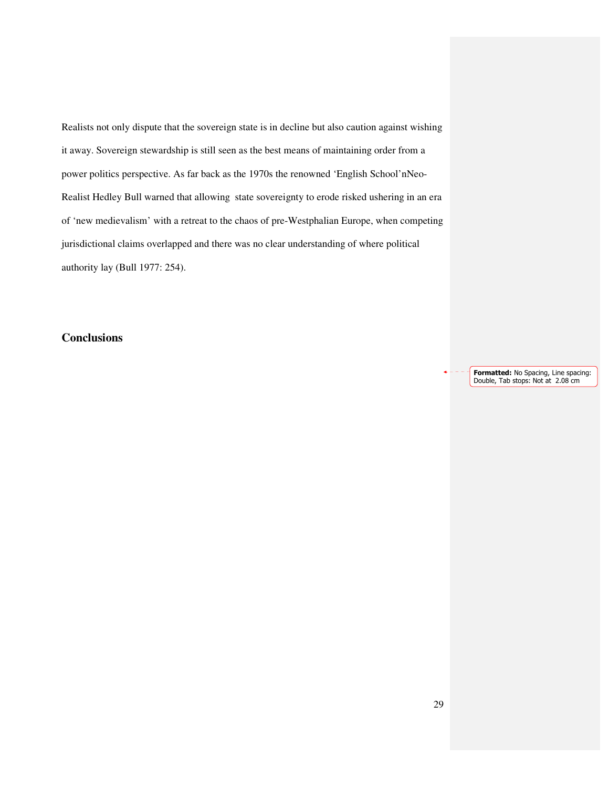Realists not only dispute that the sovereign state is in decline but also caution against wishing it away. Sovereign stewardship is still seen as the best means of maintaining order from a power politics perspective. As far back as the 1970s the renowned 'English School'nNeo-Realist Hedley Bull warned that allowing state sovereignty to erode risked ushering in an era of 'new medievalism' with a retreat to the chaos of pre-Westphalian Europe, when competing jurisdictional claims overlapped and there was no clear understanding of where political authority lay (Bull 1977: 254).

#### **Conclusions**

Formatted: No Spacing, Line spacing: Double, Tab stops: Not at 2.08 cm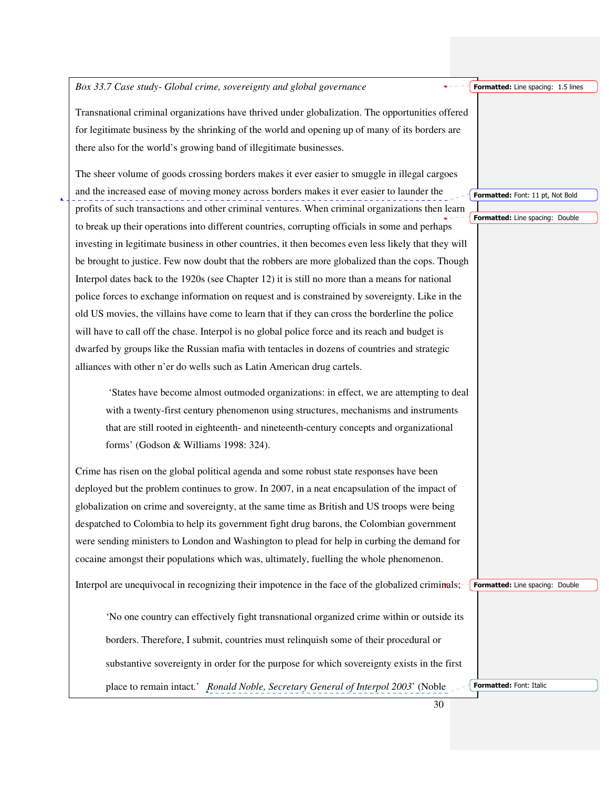| Box 33.7 Case study- Global crime, sovereignty and global governance                                 | Formatted: Line spacing: 1.5 lines |
|------------------------------------------------------------------------------------------------------|------------------------------------|
| Transnational criminal organizations have thrived under globalization. The opportunities offered     |                                    |
| for legitimate business by the shrinking of the world and opening up of many of its borders are      |                                    |
| there also for the world's growing band of illegitimate businesses.                                  |                                    |
| The sheer volume of goods crossing borders makes it ever easier to smuggle in illegal cargoes        |                                    |
| and the increased ease of moving money across borders makes it ever easier to launder the            | Formatted: Font: 11 pt, Not Bold   |
| profits of such transactions and other criminal ventures. When criminal organizations then learn     |                                    |
| to break up their operations into different countries, corrupting officials in some and perhaps      | Formatted: Line spacing: Double    |
| investing in legitimate business in other countries, it then becomes even less likely that they will |                                    |
| be brought to justice. Few now doubt that the robbers are more globalized than the cops. Though      |                                    |
| Interpol dates back to the 1920s (see Chapter 12) it is still no more than a means for national      |                                    |
| police forces to exchange information on request and is constrained by sovereignty. Like in the      |                                    |
| old US movies, the villains have come to learn that if they can cross the borderline the police      |                                    |
| will have to call off the chase. Interpol is no global police force and its reach and budget is      |                                    |
| dwarfed by groups like the Russian mafia with tentacles in dozens of countries and strategic         |                                    |
| alliances with other n'er do wells such as Latin American drug cartels.                              |                                    |
| 'States have become almost outmoded organizations: in effect, we are attempting to deal              |                                    |
| with a twenty-first century phenomenon using structures, mechanisms and instruments                  |                                    |
| that are still rooted in eighteenth- and nineteenth-century concepts and organizational              |                                    |
| forms' (Godson & Williams 1998: 324).                                                                |                                    |
| Crime has risen on the global political agenda and some robust state responses have been             |                                    |
| deployed but the problem continues to grow. In 2007, in a neat encapsulation of the impact of        |                                    |
| globalization on crime and sovereignty, at the same time as British and US troops were being         |                                    |
| despatched to Colombia to help its government fight drug barons, the Colombian government            |                                    |
| were sending ministers to London and Washington to plead for help in curbing the demand for          |                                    |
| cocaine amongst their populations which was, ultimately, fuelling the whole phenomenon.              |                                    |
| Interpol are unequivocal in recognizing their impotence in the face of the globalized criminals;     | Formatted: Line spacing: Double    |
| 'No one country can effectively fight transnational organized crime within or outside its            |                                    |
| borders. Therefore, I submit, countries must relinquish some of their procedural or                  |                                    |
| substantive sovereignty in order for the purpose for which sovereignty exists in the first           |                                    |
| place to remain intact.' Ronald Noble, Secretary General of Interpol 2003' (Noble                    | Formatted: Font: Italic            |
|                                                                                                      | 30                                 |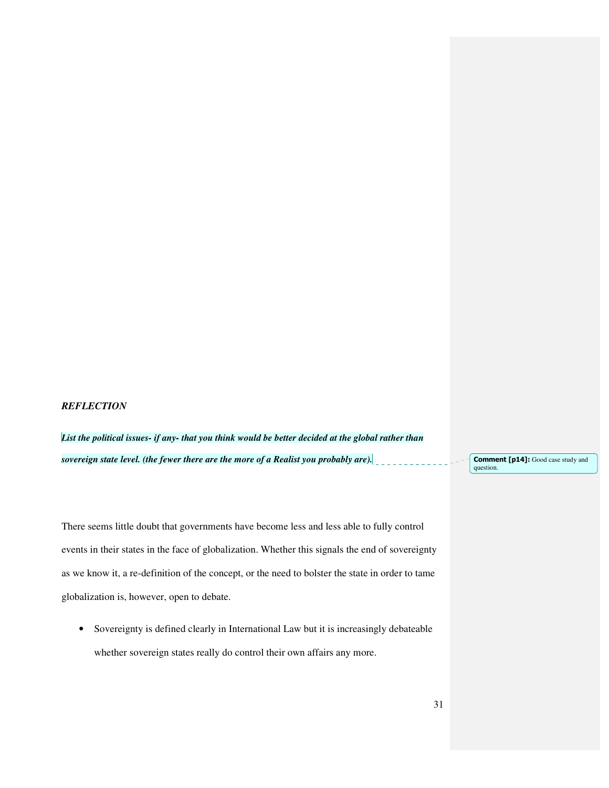#### *REFLECTION*

*List the political issues- if any- that you think would be better decided at the global rather than sovereign state level. (the fewer there are the more of a Realist you probably are).* 

There seems little doubt that governments have become less and less able to fully control events in their states in the face of globalization. Whether this signals the end of sovereignty as we know it, a re-definition of the concept, or the need to bolster the state in order to tame globalization is, however, open to debate.

• Sovereignty is defined clearly in International Law but it is increasingly debateable whether sovereign states really do control their own affairs any more.

Comment [p14]: Good case study and question.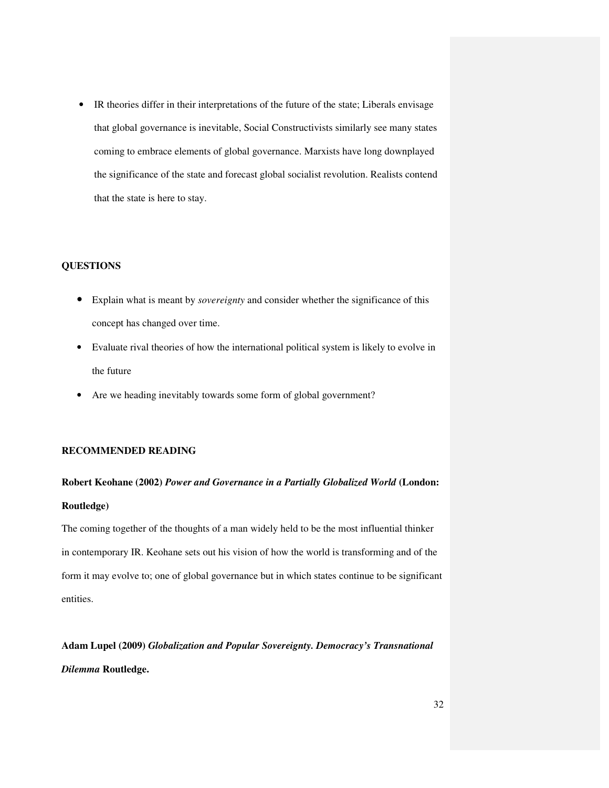• IR theories differ in their interpretations of the future of the state; Liberals envisage that global governance is inevitable, Social Constructivists similarly see many states coming to embrace elements of global governance. Marxists have long downplayed the significance of the state and forecast global socialist revolution. Realists contend that the state is here to stay.

#### **QUESTIONS**

- Explain what is meant by *sovereignty* and consider whether the significance of this concept has changed over time.
- Evaluate rival theories of how the international political system is likely to evolve in the future
- Are we heading inevitably towards some form of global government?

#### **RECOMMENDED READING**

## **Robert Keohane (2002)** *Power and Governance in a Partially Globalized World* **(London: Routledge)**

The coming together of the thoughts of a man widely held to be the most influential thinker in contemporary IR. Keohane sets out his vision of how the world is transforming and of the form it may evolve to; one of global governance but in which states continue to be significant entities.

**Adam Lupel (2009)** *Globalization and Popular Sovereignty. Democracy's Transnational Dilemma* **Routledge.**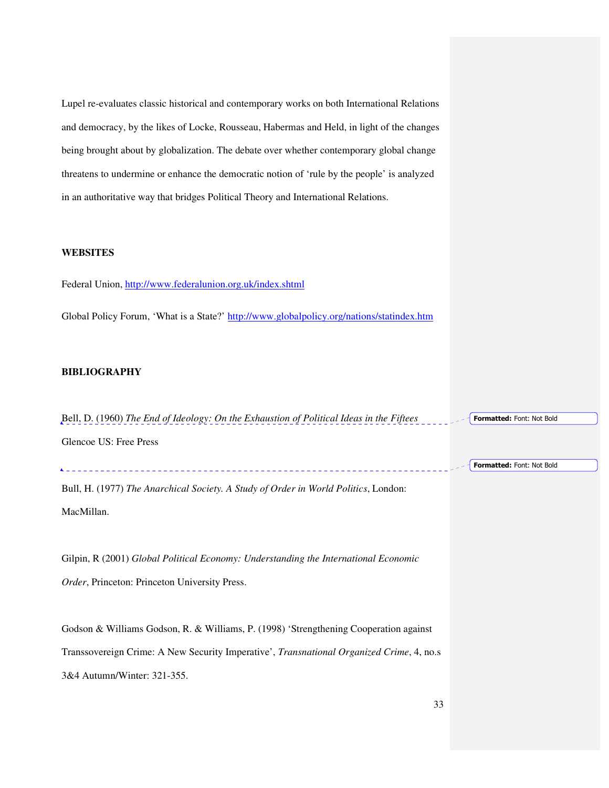Lupel re-evaluates classic historical and contemporary works on both International Relations and democracy, by the likes of Locke, Rousseau, Habermas and Held, in light of the changes being brought about by globalization. The debate over whether contemporary global change threatens to undermine or enhance the democratic notion of 'rule by the people' is analyzed in an authoritative way that bridges Political Theory and International Relations.

#### **WEBSITES**

Federal Union, http://www.federalunion.org.uk/index.shtml

Global Policy Forum, 'What is a State?' http://www.globalpolicy.org/nations/statindex.htm

#### **BIBLIOGRAPHY**

Bell, D. (1960) *The End of Ideology: On the Exhaustion of Political Ideas in the Fiftees*  Glencoe US: Free Press Formatted: Font: Not Bold Formatted: Font: Not Bold

Bull, H. (1977) *The Anarchical Society. A Study of Order in World Politics*, London: MacMillan.

Gilpin, R (2001) *Global Political Economy: Understanding the International Economic Order*, Princeton: Princeton University Press.

Godson & Williams Godson, R. & Williams, P. (1998) 'Strengthening Cooperation against Transsovereign Crime: A New Security Imperative', *Transnational Organized Crime*, 4, no.s 3&4 Autumn/Winter: 321-355.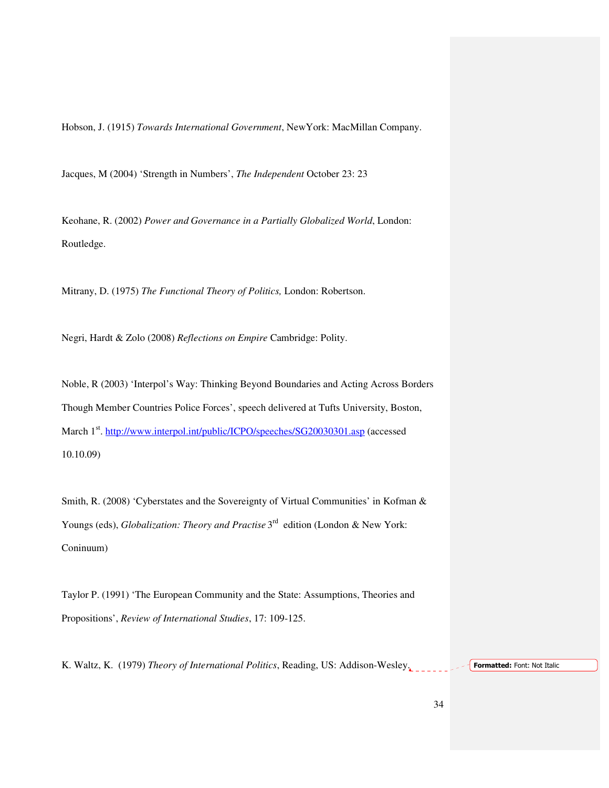Hobson, J. (1915) *Towards International Government*, NewYork: MacMillan Company.

Jacques, M (2004) 'Strength in Numbers', *The Independent* October 23: 23

Keohane, R. (2002) *Power and Governance in a Partially Globalized World*, London: Routledge.

Mitrany, D. (1975) *The Functional Theory of Politics,* London: Robertson.

Negri, Hardt & Zolo (2008) *Reflections on Empire* Cambridge: Polity.

Noble, R (2003) 'Interpol's Way: Thinking Beyond Boundaries and Acting Across Borders Though Member Countries Police Forces', speech delivered at Tufts University, Boston, March 1<sup>st</sup>. http://www.interpol.int/public/ICPO/speeches/SG20030301.asp (accessed 10.10.09)

Smith, R. (2008) 'Cyberstates and the Sovereignty of Virtual Communities' in Kofman & Youngs (eds), *Globalization: Theory and Practise* 3<sup>rd</sup> edition (London & New York: Coninuum)

Taylor P. (1991) 'The European Community and the State: Assumptions, Theories and Propositions', *Review of International Studies*, 17: 109-125.

K. Waltz, K. (1979) *Theory of International Politics*, Reading, US: Addison-Wesley. Formatted: Font: Not Italic